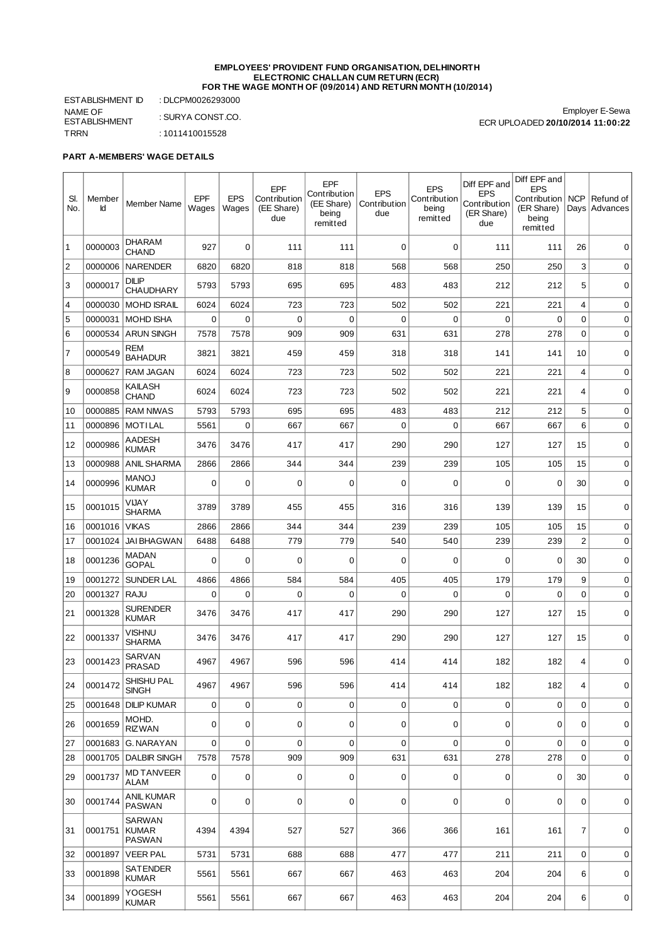## **EMPLOYEES' PROVIDENT FUND ORGANISATION, DELHINORTH ELECTRONIC CHALLAN CUM RETURN (ECR) FOR THE WAGE MONTH OF (09/2014) AND RETURN MONTH (10/2014)**

ESTABLISHMENT ID : DLCPM0026293000 NAME OF ESTABLISHMENT : SURYA CONST.CO. TRRN : 1011410015528

Employer E-Sewa ECR UPLOADED **20/10/2014 11:00:22**

## **PART A-MEMBERS' WAGE DETAILS**

| SI.<br>No.     | Member<br>Id | Member Name                             | EPF<br>Wages | <b>EPS</b><br>Wages | EPF<br>Contribution<br>(EE Share)<br>due | EPF<br>Contribution<br>(EE Share)<br>being<br>remitted | <b>EPS</b><br>Contribution<br>due | <b>EPS</b><br>Contribution<br>being<br>remitted | Diff EPF and<br><b>EPS</b><br>Contribution<br>(ER Share)<br>due | Diff EPF and<br><b>EPS</b><br>Contribution   NCP<br>(ER Share)<br>being<br>remitted | Days           | Refund of<br>Advances |
|----------------|--------------|-----------------------------------------|--------------|---------------------|------------------------------------------|--------------------------------------------------------|-----------------------------------|-------------------------------------------------|-----------------------------------------------------------------|-------------------------------------------------------------------------------------|----------------|-----------------------|
| 1              | 0000003      | <b>DHARAM</b><br>CHAND                  | 927          | 0                   | 111                                      | 111                                                    | 0                                 | $\mathbf 0$                                     | 111                                                             | 111                                                                                 | 26             | 0                     |
| $\overline{c}$ | 0000006      | <b>NARENDER</b>                         | 6820         | 6820                | 818                                      | 818                                                    | 568                               | 568                                             | 250                                                             | 250                                                                                 | 3              | $\mathbf 0$           |
| 3              | 0000017      | <b>DILIP</b><br><b>CHAUDHARY</b>        | 5793         | 5793                | 695                                      | 695                                                    | 483                               | 483                                             | 212                                                             | 212                                                                                 | 5              | $\mathbf 0$           |
| $\overline{4}$ | 0000030      | <b>MOHD ISRAIL</b>                      | 6024         | 6024                | 723                                      | 723                                                    | 502                               | 502                                             | 221                                                             | 221                                                                                 | 4              | 0                     |
| 5              | 0000031      | <b>MOHD ISHA</b>                        | 0            | 0                   | 0                                        | 0                                                      | 0                                 | $\mathbf 0$                                     | $\mathbf 0$                                                     | 0                                                                                   | 0              | 0                     |
| 6              | 0000534      | <b>ARUN SINGH</b>                       | 7578         | 7578                | 909                                      | 909                                                    | 631                               | 631                                             | 278                                                             | 278                                                                                 | $\Omega$       | $\mathbf 0$           |
| 7              | 0000549      | REM<br><b>BAHADUR</b>                   | 3821         | 3821                | 459                                      | 459                                                    | 318                               | 318                                             | 141                                                             | 141                                                                                 | 10             | 0                     |
| 8              | 0000627      | <b>RAM JAGAN</b>                        | 6024         | 6024                | 723                                      | 723                                                    | 502                               | 502                                             | 221                                                             | 221                                                                                 | 4              | $\mathbf 0$           |
| 9              | 0000858      | KAILASH<br><b>CHAND</b>                 | 6024         | 6024                | 723                                      | 723                                                    | 502                               | 502                                             | 221                                                             | 221                                                                                 | 4              | $\mathbf 0$           |
| 10             | 0000885      | <b>RAM NIWAS</b>                        | 5793         | 5793                | 695                                      | 695                                                    | 483                               | 483                                             | 212                                                             | 212                                                                                 | 5              | 0                     |
| 11             | 0000896      | <b>MOTILAL</b>                          | 5561         | $\Omega$            | 667                                      | 667                                                    | $\mathbf 0$                       | $\mathbf 0$                                     | 667                                                             | 667                                                                                 | 6              | 0                     |
| 12             | 0000986      | AADESH<br><b>KUMAR</b>                  | 3476         | 3476                | 417                                      | 417                                                    | 290                               | 290                                             | 127                                                             | 127                                                                                 | 15             | 0                     |
| 13             | 0000988      | <b>ANIL SHARMA</b>                      | 2866         | 2866                | 344                                      | 344                                                    | 239                               | 239                                             | 105                                                             | 105                                                                                 | 15             | 0                     |
| 14             | 0000996      | <b>MANOJ</b><br><b>KUMAR</b>            | $\Omega$     | $\mathbf 0$         | 0                                        | 0                                                      | 0                                 | $\mathbf 0$                                     | $\mathbf 0$                                                     | $\Omega$                                                                            | 30             | 0                     |
| 15             | 0001015      | VIJAY<br><b>SHARMA</b>                  | 3789         | 3789                | 455                                      | 455                                                    | 316                               | 316                                             | 139                                                             | 139                                                                                 | 15             | 0                     |
| 16             | 0001016      | <b>VIKAS</b>                            | 2866         | 2866                | 344                                      | 344                                                    | 239                               | 239                                             | 105                                                             | 105                                                                                 | 15             | 0                     |
| 17             | 0001024      | <b>JAI BHAGWAN</b>                      | 6488         | 6488                | 779                                      | 779                                                    | 540                               | 540                                             | 239                                                             | 239                                                                                 | $\overline{2}$ | 0                     |
| 18             | 0001236      | MADAN<br><b>GOPAL</b>                   | $\Omega$     | $\Omega$            | $\mathbf 0$                              | $\Omega$                                               | $\mathbf 0$                       | $\mathbf 0$                                     | $\mathbf 0$                                                     | $\mathbf 0$                                                                         | 30             | $\mathbf 0$           |
| 19             | 0001272      | <b>SUNDER LAL</b>                       | 4866         | 4866                | 584                                      | 584                                                    | 405                               | 405                                             | 179                                                             | 179                                                                                 | 9              | 0                     |
| 20             | 0001327      | <b>RAJU</b>                             | $\Omega$     | $\Omega$            | $\overline{0}$                           | $\Omega$                                               | $\Omega$                          | $\mathbf 0$                                     | $\Omega$                                                        | $\Omega$                                                                            | $\mathbf 0$    | 0                     |
| 21             | 0001328      | <b>SURENDER</b><br><b>KUMAR</b>         | 3476         | 3476                | 417                                      | 417                                                    | 290                               | 290                                             | 127                                                             | 127                                                                                 | 15             | 0                     |
| 22             | 0001337      | <b>VISHNU</b><br><b>SHARMA</b>          | 3476         | 3476                | 417                                      | 417                                                    | 290                               | 290                                             | 127                                                             | 127                                                                                 | 15             | 0                     |
| 23             | 0001423      | SARVAN<br><b>PRASAD</b>                 | 4967         | 4967                | 596                                      | 596                                                    | 414                               | 414                                             | 182                                                             | 182                                                                                 | 4              | 0                     |
| 24             | 0001472      | SHISHU PAL<br><b>SINGH</b>              | 4967         | 4967                | 596                                      | 596                                                    | 414                               | 414                                             | 182                                                             | 182                                                                                 | 4              | 0                     |
| 25             | 0001648      | <b>DILIP KUMAR</b>                      | 0            | 0                   | 0                                        | 0                                                      | 0                                 | 0                                               | $\mathbf 0$                                                     | 0                                                                                   | $\mathbf 0$    | 0                     |
| 26             | 0001659      | MOHD.<br><b>RIZWAN</b>                  | 0            | 0                   | 0                                        | 0                                                      | 0                                 | 0                                               | 0                                                               | 0                                                                                   | 0              | 0                     |
| 27             | 0001683      | <b>G. NARAYAN</b>                       | $\mathbf 0$  | $\mathbf 0$         | 0                                        | 0                                                      | $\mathbf 0$                       | $\overline{0}$                                  | 0                                                               | $\Omega$                                                                            | $\mathbf 0$    | 0                     |
| 28             | 0001705      | <b>DALBIR SINGH</b>                     | 7578         | 7578                | 909                                      | 909                                                    | 631                               | 631                                             | 278                                                             | 278                                                                                 | $\Omega$       | 0                     |
| 29             | 0001737      | <b>MD TANVEER</b><br>ALAM               | 0            | 0                   | 0                                        | 0                                                      | 0                                 | 0                                               | 0                                                               | 0                                                                                   | 30             | 0                     |
| 30             | 0001744      | ANIL KUMAR<br>PASWAN                    | 0            | $\mathbf 0$         | 0                                        | 0                                                      | $\mathbf 0$                       | $\mathbf 0$                                     | $\mathbf 0$                                                     | 0                                                                                   | 0              | 0                     |
| 31             | 0001751      | SARWAN<br><b>KUMAR</b><br><b>PASWAN</b> | 4394         | 4394                | 527                                      | 527                                                    | 366                               | 366                                             | 161                                                             | 161                                                                                 | $\overline{7}$ | 0                     |
| 32             | 0001897      | <b>VEER PAL</b>                         | 5731         | 5731                | 688                                      | 688                                                    | 477                               | 477                                             | 211                                                             | 211                                                                                 | 0              | 0                     |
| 33             | 0001898      | <b>SATENDER</b><br><b>KUMAR</b>         | 5561         | 5561                | 667                                      | 667                                                    | 463                               | 463                                             | 204                                                             | 204                                                                                 | 6              | 0                     |
| 34             | 0001899      | YOGESH<br>KUMAR                         | 5561         | 5561                | 667                                      | 667                                                    | 463                               | 463                                             | 204                                                             | 204                                                                                 | 6              | 0                     |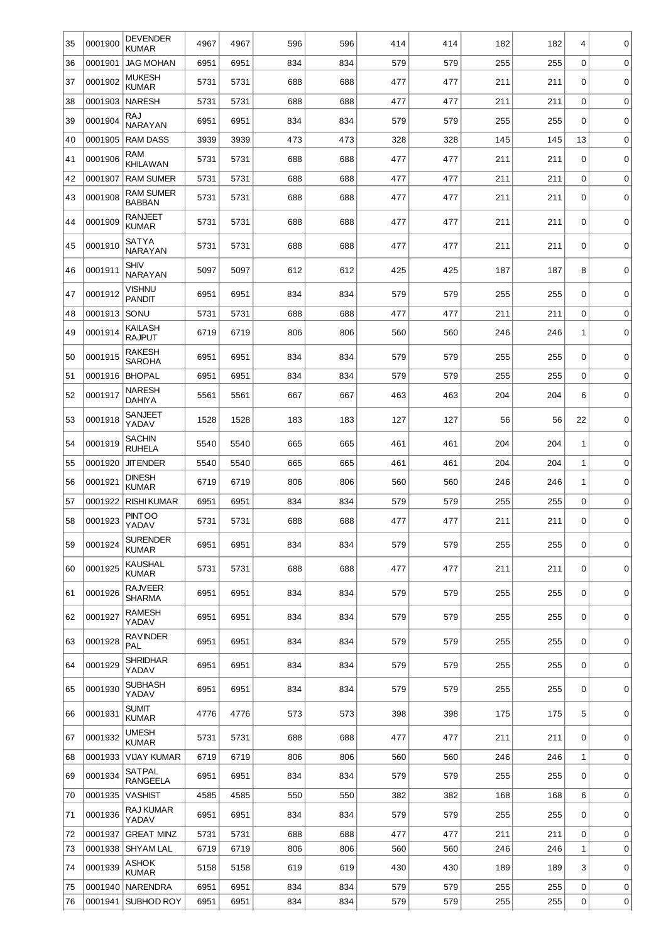| 35       | 0001900            | <b>DEVENDER</b><br><b>KUMAR</b>   | 4967         | 4967         | 596        | 596        | 414        | 414        | 182        | 182        | 4                | 0           |
|----------|--------------------|-----------------------------------|--------------|--------------|------------|------------|------------|------------|------------|------------|------------------|-------------|
| 36       | 0001901            | <b>JAG MOHAN</b>                  | 6951         | 6951         | 834        | 834        | 579        | 579        | 255        | 255        | $\mathbf 0$      | 0           |
| 37       | 0001902            | <b>MUKESH</b><br><b>KUMAR</b>     | 5731         | 5731         | 688        | 688        | 477        | 477        | 211        | 211        | 0                | 0           |
| 38       | 0001903            | <b>NARESH</b>                     | 5731         | 5731         | 688        | 688        | 477        | 477        | 211        | 211        | $\mathbf 0$      | 0           |
| 39       | 0001904            | RAJ<br><b>NARAYAN</b>             | 6951         | 6951         | 834        | 834        | 579        | 579        | 255        | 255        | 0                | 0           |
| 40       | 0001905            | <b>RAM DASS</b>                   | 3939         | 3939         | 473        | 473        | 328        | 328        | 145        | 145        | 13               | 0           |
| 41       | 0001906            | <b>RAM</b><br><b>KHILAWAN</b>     | 5731         | 5731         | 688        | 688        | 477        | 477        | 211        | 211        | 0                | 0           |
| 42       | 0001907            | <b>RAM SUMER</b>                  | 5731         | 5731         | 688        | 688        | 477        | 477        | 211        | 211        | 0                | $\mathbf 0$ |
| 43       | 0001908            | <b>RAM SUMER</b><br><b>BABBAN</b> | 5731         | 5731         | 688        | 688        | 477        | 477        | 211        | 211        | 0                | 0           |
| 44       | 0001909            | RANJEET<br><b>KUMAR</b>           | 5731         | 5731         | 688        | 688        | 477        | 477        | 211        | 211        | 0                | $\mathbf 0$ |
| 45       | 0001910            | <b>SATYA</b><br><b>NARAYAN</b>    | 5731         | 5731         | 688        | 688        | 477        | 477        | 211        | 211        | 0                | 0           |
| 46       | 0001911            | SHIV<br><b>NARAYAN</b>            | 5097         | 5097         | 612        | 612        | 425        | 425        | 187        | 187        | 8                | 0           |
| 47       | 0001912            | VISHNU<br><b>PANDIT</b>           | 6951         | 6951         | 834        | 834        | 579        | 579        | 255        | 255        | 0                | 0           |
| 48       | 0001913            | SONU                              | 5731         | 5731         | 688        | 688        | 477        | 477        | 211        | 211        | 0                | 0           |
| 49       | 0001914            | KAILASH<br><b>RAJPUT</b>          | 6719         | 6719         | 806        | 806        | 560        | 560        | 246        | 246        | 1                | $\mathbf 0$ |
| 50       | 0001915            | RAKESH<br><b>SAROHA</b>           | 6951         | 6951         | 834        | 834        | 579        | 579        | 255        | 255        | 0                | 0           |
| 51       | 0001916            | <b>BHOPAL</b>                     | 6951         | 6951         | 834        | 834        | 579        | 579        | 255        | 255        | $\mathbf 0$      | 0           |
| 52       | 0001917            | <b>NARESH</b><br><b>DAHIYA</b>    | 5561         | 5561         | 667        | 667        | 463        | 463        | 204        | 204        | 6                | 0           |
| 53       | 0001918            | <b>SANJEET</b><br>YADAV           | 1528         | 1528         | 183        | 183        | 127        | 127        | 56         | 56         | 22               | 0           |
| 54       | 0001919            | SACHIN<br><b>RUHELA</b>           | 5540         | 5540         | 665        | 665        | 461        | 461        | 204        | 204        | 1                | 0           |
| 55       | 0001920            | <b>JIT ENDER</b>                  | 5540         | 5540         | 665        | 665        | 461        | 461        | 204        | 204        | $1\,$            | 0           |
| 56       | 0001921            | <b>DINESH</b><br><b>KUMAR</b>     | 6719         | 6719         | 806        | 806        | 560        | 560        | 246        | 246        | 1                | 0           |
| 57       | 0001922            | <b>RISHI KUMAR</b>                | 6951         | 6951         | 834        | 834        | 579        | 579        | 255        | 255        | 0                | 0           |
| 58       | 0001923            | <b>PINTOO</b><br>YADAV            | 5731         | 5731         | 688        | 688        | 477        | 477        | 211        | 211        | 0                | 0           |
| 59       | 0001924            | <b>SURENDER</b><br><b>KUMAR</b>   | 6951         | 6951         | 834        | 834        | 579        | 579        | 255        | 255        | 0                | 0           |
| 60       | 0001925            | <b>KAUSHAL</b><br><b>KUMAR</b>    | 5731         | 5731         | 688        | 688        | 477        | 477        | 211        | 211        | 0                | 0           |
| 61       | 0001926            | <b>RAJVEER</b><br>SHARMA          | 6951         | 6951         | 834        | 834        | 579        | 579        | 255        | 255        | 0                | 0           |
| 62       | 0001927            | RAMESH<br>YADAV                   | 6951         | 6951         | 834        | 834        | 579        | 579        | 255        | 255        | 0                | 0           |
| 63       | 0001928            | <b>RAVINDER</b><br>PAL            | 6951         | 6951         | 834        | 834        | 579        | 579        | 255        | 255        | 0                | 0           |
| 64       | 0001929            | SHRIDHAR<br>YADAV                 | 6951         | 6951         | 834        | 834        | 579        | 579        | 255        | 255        | 0                | 0           |
| 65       | 0001930            | <b>SUBHASH</b><br>YADAV           | 6951         | 6951         | 834        | 834        | 579        | 579        | 255        | 255        | 0                | 0           |
| 66       | 0001931            | Sumit<br><b>KUMAR</b>             | 4776         | 4776         | 573        | 573        | 398        | 398        | 175        | 175        | 5                | 0           |
| 67       | 0001932            | UMESH<br><b>KUMAR</b>             | 5731         | 5731         | 688        | 688        | 477        | 477        | 211        | 211        | 0                | 0           |
| 68       | 0001933            | <b>VIJAY KUMAR</b>                | 6719         | 6719         | 806        | 806        | 560        | 560        | 246        | 246        | $1\,$            | 0           |
| 69       | 0001934            | SATPAL<br><b>RANGEELA</b>         | 6951         | 6951         | 834        | 834        | 579        | 579        | 255        | 255        | 0                | 0           |
| 70       | 0001935            | <b>VASHIST</b>                    | 4585         | 4585         | 550        | 550        | 382        | 382        | 168        | 168        | 6                | 0           |
| 71       | 0001936            | RAJ KUMAR<br>YADAV                | 6951         | 6951         | 834        | 834        | 579        | 579        | 255        | 255        | 0                | 0           |
| 72       | 0001937            | <b>GREAT MINZ</b>                 | 5731         | 5731         | 688        | 688        | 477        | 477        | 211        | 211        | $\mathbf 0$      | 0           |
| 73       | 0001938            | <b>SHYAM LAL</b>                  | 6719         | 6719         | 806        | 806        | 560        | 560        | 246        | 246        | $1\,$            | 0           |
| 74       | 0001939            | ASHOK<br><b>KUMAR</b>             | 5158         | 5158         | 619        | 619        | 430        | 430        | 189        | 189        | 3                | 0           |
| 75<br>76 | 0001940<br>0001941 | NARENDRA<br><b>SUBHOD ROY</b>     | 6951<br>6951 | 6951<br>6951 | 834<br>834 | 834<br>834 | 579<br>579 | 579<br>579 | 255<br>255 | 255<br>255 | 0<br>$\mathsf 0$ | 0<br>0      |
|          |                    |                                   |              |              |            |            |            |            |            |            |                  |             |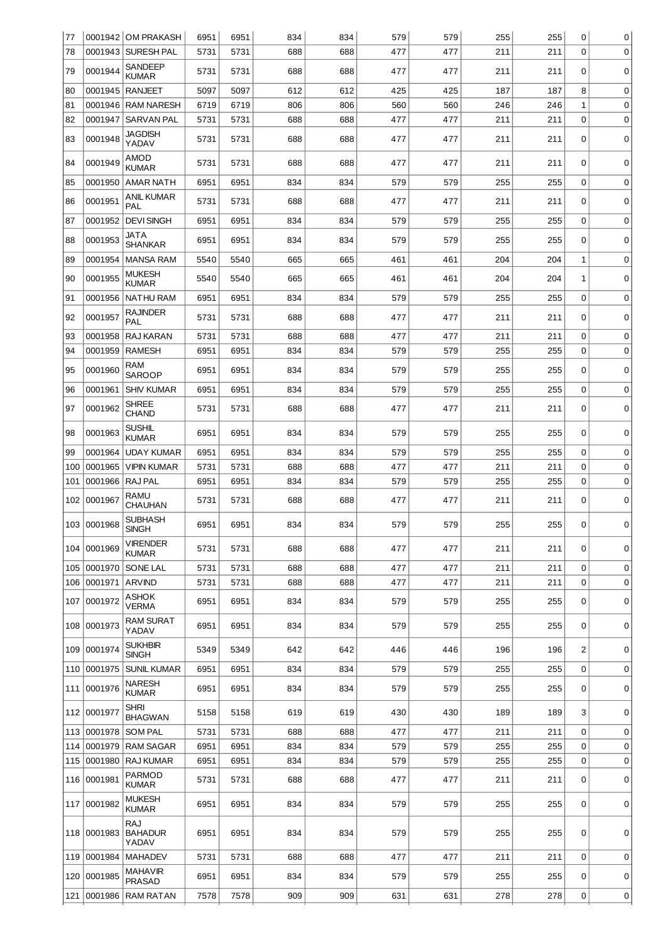| 77  |                 | 0001942 OM PRAKASH             | 6951 | 6951 | 834 | 834 | 579 | 579 | 255 | 255 | $\mathbf 0$    | 0           |
|-----|-----------------|--------------------------------|------|------|-----|-----|-----|-----|-----|-----|----------------|-------------|
| 78  |                 | 0001943   SURESH PAL           | 5731 | 5731 | 688 | 688 | 477 | 477 | 211 | 211 | $\mathbf 0$    | 0           |
| 79  | 0001944         | SANDEEP<br><b>KUMAR</b>        | 5731 | 5731 | 688 | 688 | 477 | 477 | 211 | 211 | $\Omega$       | 0           |
| 80  | 0001945         | <b>RANJEET</b>                 | 5097 | 5097 | 612 | 612 | 425 | 425 | 187 | 187 | 8              | 0           |
| 81  |                 | 0001946 RAM NARESH             | 6719 | 6719 | 806 | 806 | 560 | 560 | 246 | 246 | $1\,$          | 0           |
| 82  | 0001947         | <b>SARVAN PAL</b>              | 5731 | 5731 | 688 | 688 | 477 | 477 | 211 | 211 | $\mathbf 0$    | 0           |
| 83  | 0001948         | <b>JAGDISH</b><br>YADAV        | 5731 | 5731 | 688 | 688 | 477 | 477 | 211 | 211 | 0              | 0           |
| 84  | 0001949         | AMOD<br><b>KUMAR</b>           | 5731 | 5731 | 688 | 688 | 477 | 477 | 211 | 211 | 0              | 0           |
| 85  | 0001950         | <b>AMAR NATH</b>               | 6951 | 6951 | 834 | 834 | 579 | 579 | 255 | 255 | $\mathbf 0$    | 0           |
| 86  | 0001951         | ANIL KUMAR<br>PAL              | 5731 | 5731 | 688 | 688 | 477 | 477 | 211 | 211 | 0              | 0           |
| 87  | 0001952         | <b>DEVI SINGH</b>              | 6951 | 6951 | 834 | 834 | 579 | 579 | 255 | 255 | $\mathbf 0$    | 0           |
| 88  | 0001953         | <b>JATA</b><br><b>SHANKAR</b>  | 6951 | 6951 | 834 | 834 | 579 | 579 | 255 | 255 | 0              | 0           |
| 89  | 0001954         | <b>MANSA RAM</b>               | 5540 | 5540 | 665 | 665 | 461 | 461 | 204 | 204 | 1              | 0           |
| 90  | 0001955         | <b>MUKESH</b><br><b>KUMAR</b>  | 5540 | 5540 | 665 | 665 | 461 | 461 | 204 | 204 | $\mathbf{1}$   | 0           |
| 91  | 0001956         | <b>NATHU RAM</b>               | 6951 | 6951 | 834 | 834 | 579 | 579 | 255 | 255 | $\mathbf 0$    | 0           |
| 92  | 0001957         | <b>RAJINDER</b><br>PAL         | 5731 | 5731 | 688 | 688 | 477 | 477 | 211 | 211 | 0              | 0           |
| 93  | 0001958         | RAJ KARAN                      | 5731 | 5731 | 688 | 688 | 477 | 477 | 211 | 211 | $\mathbf 0$    | 0           |
| 94  | 0001959         | <b>RAMESH</b>                  | 6951 | 6951 | 834 | 834 | 579 | 579 | 255 | 255 | $\mathbf 0$    | 0           |
| 95  | 0001960         | RAM<br><b>SAROOP</b>           | 6951 | 6951 | 834 | 834 | 579 | 579 | 255 | 255 | 0              | $\mathbf 0$ |
| 96  | 0001961         | <b>SHIV KUMAR</b>              | 6951 | 6951 | 834 | 834 | 579 | 579 | 255 | 255 | $\mathbf 0$    | 0           |
| 97  | 0001962         | <b>SHREE</b><br><b>CHAND</b>   | 5731 | 5731 | 688 | 688 | 477 | 477 | 211 | 211 | 0              | $\mathbf 0$ |
| 98  | 0001963         | SUSHIL<br><b>KUMAR</b>         | 6951 | 6951 | 834 | 834 | 579 | 579 | 255 | 255 | $\mathbf 0$    | 0           |
| 99  | 0001964         | <b>UDAY KUMAR</b>              | 6951 | 6951 | 834 | 834 | 579 | 579 | 255 | 255 | $\mathbf 0$    | 0           |
| 100 | 0001965         | <b>VIPIN KUMAR</b>             | 5731 | 5731 | 688 | 688 | 477 | 477 | 211 | 211 | $\mathbf 0$    | 0           |
| 101 | 0001966 RAJ PAL |                                | 6951 | 6951 | 834 | 834 | 579 | 579 | 255 | 255 | $\mathbf 0$    | 0           |
| 102 | 0001967         | RAMU<br>CHAUHAN                | 5731 | 5731 | 688 | 688 | 477 | 477 | 211 | 211 | 0              | 0           |
|     | 103 0001968     | <b>SUBHASH</b><br>SINGH        | 6951 | 6951 | 834 | 834 | 579 | 579 | 255 | 255 | 0              | 0           |
| 104 | 0001969         | VIRENDER<br><b>KUMAR</b>       | 5731 | 5731 | 688 | 688 | 477 | 477 | 211 | 211 | 0              | $\mathbf 0$ |
| 105 | 0001970         | SONE LAL                       | 5731 | 5731 | 688 | 688 | 477 | 477 | 211 | 211 | $\mathbf 0$    | $\mathbf 0$ |
| 106 | 0001971         | <b>ARVIND</b>                  | 5731 | 5731 | 688 | 688 | 477 | 477 | 211 | 211 | $\mathbf 0$    | 0           |
| 107 | 0001972         | ASHOK<br>VERMA                 | 6951 | 6951 | 834 | 834 | 579 | 579 | 255 | 255 | $\Omega$       | 0           |
| 108 | 0001973         | RAM SURAT<br>YADAV             | 6951 | 6951 | 834 | 834 | 579 | 579 | 255 | 255 | 0              | 0           |
| 109 | 0001974         | <b>SUKHBIR</b><br><b>SINGH</b> | 5349 | 5349 | 642 | 642 | 446 | 446 | 196 | 196 | $\overline{2}$ | 0           |
| 110 | 0001975         | <b>SUNIL KUMAR</b>             | 6951 | 6951 | 834 | 834 | 579 | 579 | 255 | 255 | 0              | 0           |
| 111 | 0001976         | NARESH<br>KUMAR                | 6951 | 6951 | 834 | 834 | 579 | 579 | 255 | 255 | 0              | 0           |
| 112 | 0001977         | Shri<br><b>BHAGWAN</b>         | 5158 | 5158 | 619 | 619 | 430 | 430 | 189 | 189 | 3              | $\mathbf 0$ |
| 113 | 0001978         | <b>SOM PAL</b>                 | 5731 | 5731 | 688 | 688 | 477 | 477 | 211 | 211 | $\mathbf 0$    | 0           |
| 114 | 0001979         | <b>RAM SAGAR</b>               | 6951 | 6951 | 834 | 834 | 579 | 579 | 255 | 255 | 0              | 0           |
| 115 | 0001980         | <b>RAJ KUMAR</b>               | 6951 | 6951 | 834 | 834 | 579 | 579 | 255 | 255 | $\mathbf 0$    | $\mathbf 0$ |
| 116 | 0001981         | PARMOD<br><b>KUMAR</b>         | 5731 | 5731 | 688 | 688 | 477 | 477 | 211 | 211 | 0              | 0           |
| 117 | 0001982         | <b>MUKESH</b><br><b>KUMAR</b>  | 6951 | 6951 | 834 | 834 | 579 | 579 | 255 | 255 | 0              | 0           |
| 118 | 0001983         | RAJ<br><b>BAHADUR</b><br>YADAV | 6951 | 6951 | 834 | 834 | 579 | 579 | 255 | 255 | 0              | 0           |
| 119 | 0001984         | <b>MAHADEV</b>                 | 5731 | 5731 | 688 | 688 | 477 | 477 | 211 | 211 | 0              | 0           |
| 120 | 0001985         | MAHAVIR<br><b>PRASAD</b>       | 6951 | 6951 | 834 | 834 | 579 | 579 | 255 | 255 | 0              | 0           |
| 121 | 0001986         | <b>RAM RATAN</b>               | 7578 | 7578 | 909 | 909 | 631 | 631 | 278 | 278 | 0              | 0           |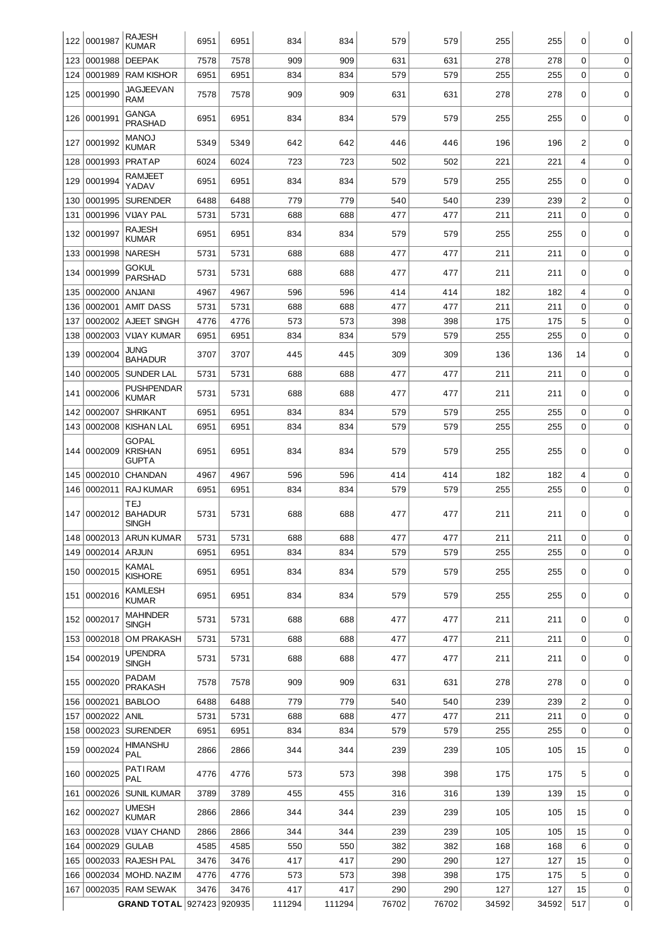| 122        | 0001987            | <b>RAJESH</b><br><b>KUMAR</b>                  | 6951         | 6951         | 834        | 834        | 579        | 579        | 255        | 255        | $\Omega$         | 0           |
|------------|--------------------|------------------------------------------------|--------------|--------------|------------|------------|------------|------------|------------|------------|------------------|-------------|
| 123        | 0001988            | <b>DEEPAK</b>                                  | 7578         | 7578         | 909        | 909        | 631        | 631        | 278        | 278        | 0                | 0           |
| 124        | 0001989            | <b>RAM KISHOR</b>                              | 6951         | 6951         | 834        | 834        | 579        | 579        | 255        | 255        | $\mathbf 0$      | $\mathbf 0$ |
| 125        | 0001990            | JAGJEEVAN<br>RAM                               | 7578         | 7578         | 909        | 909        | 631        | 631        | 278        | 278        | 0                | $\mathbf 0$ |
| 126        | 0001991            | <b>GANGA</b><br><b>PRASHAD</b>                 | 6951         | 6951         | 834        | 834        | 579        | 579        | 255        | 255        | $\Omega$         | 0           |
| 127        | 0001992            | <b>MANOJ</b><br><b>KUMAR</b>                   | 5349         | 5349         | 642        | 642        | 446        | 446        | 196        | 196        | 2                | 0           |
| 128        | 0001993            | PRATAP                                         | 6024         | 6024         | 723        | 723        | 502        | 502        | 221        | 221        | 4                | $\mathbf 0$ |
| 129        | 0001994            | RAMJEET<br>YADAV                               | 6951         | 6951         | 834        | 834        | 579        | 579        | 255        | 255        | 0                | $\mathbf 0$ |
| 130        | 0001995            | <b>SURENDER</b>                                | 6488         | 6488         | 779        | 779        | 540        | 540        | 239        | 239        | $\overline{2}$   | 0           |
| 131        | 0001996            | <b>VIJAY PAL</b>                               | 5731         | 5731         | 688        | 688        | 477        | 477        | 211        | 211        | $\mathbf 0$      | 0           |
| 132        | 0001997            | <b>RAJESH</b><br><b>KUMAR</b>                  | 6951         | 6951         | 834        | 834        | 579        | 579        | 255        | 255        | 0                | $\mathbf 0$ |
| 133        | 0001998            | <b>NARESH</b>                                  | 5731         | 5731         | 688        | 688        | 477        | 477        | 211        | 211        | 0                | 0           |
| 134        | 0001999            | GOKUL<br><b>PARSHAD</b>                        | 5731         | 5731         | 688        | 688        | 477        | 477        | 211        | 211        | $\Omega$         | 0           |
| 135        | 0002000            | <b>ANJANI</b>                                  | 4967         | 4967         | 596        | 596        | 414        | 414        | 182        | 182        | 4                | 0           |
| 136        | 0002001            | <b>AMIT DASS</b>                               | 5731         | 5731         | 688        | 688        | 477        | 477        | 211        | 211        | $\mathbf 0$      | $\mathbf 0$ |
| 137<br>138 | 0002002<br>0002003 | AJEET SINGH<br><b>VIJAY KUMAR</b>              | 4776<br>6951 | 4776<br>6951 | 573<br>834 | 573<br>834 | 398<br>579 | 398<br>579 | 175<br>255 | 175<br>255 | 5<br>$\mathbf 0$ | 0<br>0      |
|            |                    | <b>JUNG</b>                                    | 3707         |              | 445        |            | 309        | 309        | 136        |            |                  |             |
| 139        | 0002004            | <b>BAHADUR</b>                                 |              | 3707         |            | 445        |            |            |            | 136        | 14               | 0           |
| 140        | 0002005            | <b>SUNDER LAL</b><br><b>PUSHPENDAR</b>         | 5731         | 5731         | 688        | 688        | 477        | 477        | 211        | 211        | $\mathbf 0$      | 0           |
| 141        | 0002006            | <b>KUMAR</b>                                   | 5731         | 5731         | 688        | 688        | 477        | 477        | 211        | 211        | $\Omega$         | 0           |
| 142        | 0002007            | <b>SHRIKANT</b>                                | 6951         | 6951         | 834        | 834        | 579        | 579        | 255        | 255        | $\mathbf 0$      | 0           |
| 143        | 0002008            | <b>KISHAN LAL</b>                              | 6951         | 6951         | 834        | 834        | 579        | 579        | 255        | 255        | $\Omega$         | $\mathbf 0$ |
| 144        | 0002009            | <b>GOPAL</b><br><b>KRISHAN</b><br><b>GUPTA</b> | 6951         | 6951         | 834        | 834        | 579        | 579        | 255        | 255        | 0                | 0           |
| 145        | 0002010            | <b>CHANDAN</b>                                 | 4967         | 4967         | 596        | 596        | 414        | 414        | 182        | 182        | 4                | 0           |
| 146        | 0002011            | <b>RAJ KUMAR</b>                               | 6951         | 6951         | 834        | 834        | 579        | 579        | 255        | 255        | $\mathbf 0$      | 0           |
| 147        | 0002012            | TEJ<br><b>BAHADUR</b><br>SINGH                 | 5731         | 5731         | 688        | 688        | 477        | 477        | 211        | 211        | 0                | 0           |
|            |                    | 148 0002013 ARUN KUMAR                         | 5731         | 5731         | 688        | 688        | 477        | 477        | 211        | 211        | 0                | 0           |
| 149        | 0002014            | <b>ARJUN</b>                                   | 6951         | 6951         | 834        | 834        | 579        | 579        | 255        | 255        | $\Omega$         | 0           |
| 150        | 0002015            | KAMAL<br><b>KISHORE</b>                        | 6951         | 6951         | 834        | 834        | 579        | 579        | 255        | 255        | 0                | 0           |
| 151        | 0002016            | <b>KAMLESH</b><br><b>KUMAR</b>                 | 6951         | 6951         | 834        | 834        | 579        | 579        | 255        | 255        | 0                | 0           |
|            | 152 0002017        | <b>MAHINDER</b><br><b>SINGH</b>                | 5731         | 5731         | 688        | 688        | 477        | 477        | 211        | 211        | 0                | 0           |
| 153        | 0002018            | OM PRAKASH                                     | 5731         | 5731         | 688        | 688        | 477        | 477        | 211        | 211        | 0                | 0           |
| 154        | 0002019            | <b>UPENDRA</b><br><b>SINGH</b>                 | 5731         | 5731         | 688        | 688        | 477        | 477        | 211        | 211        | 0                | 0           |
| 155        | 0002020            | PADAM<br><b>PRAKASH</b>                        | 7578         | 7578         | 909        | 909        | 631        | 631        | 278        | 278        | $\Omega$         | 0           |
| 156        | 0002021            | <b>BABLOO</b>                                  | 6488         | 6488         | 779        | 779        | 540        | 540        | 239        | 239        | $\overline{2}$   | 0           |
| 157        | 0002022            | ANIL                                           | 5731         | 5731         | 688        | 688        | 477        | 477        | 211        | 211        | $\Omega$         | 0           |
| 158        | 0002023            | <b>SURENDER</b>                                | 6951         | 6951         | 834        | 834        | 579        | 579        | 255        | 255        | $\mathbf 0$      | 0           |
| 159        | 0002024            | HIMANSHU<br>PAL                                | 2866         | 2866         | 344        | 344        | 239        | 239        | 105        | 105        | 15               | 0           |
| 160        | 0002025            | PATIRAM<br>PAL                                 | 4776         | 4776         | 573        | 573        | 398        | 398        | 175        | 175        | 5                | 0           |
| 161        | 0002026            | <b>SUNIL KUMAR</b>                             | 3789         | 3789         | 455        | 455        | 316        | 316        | 139        | 139        | 15               | 0           |
| 162        | 0002027            | <b>UMESH</b><br><b>KUMAR</b>                   | 2866         | 2866         | 344        | 344        | 239        | 239        | 105        | 105        | 15               | 0           |
| 163        | 0002028            | <b>VIJAY CHAND</b>                             | 2866         | 2866         | 344        | 344        | 239        | 239        | 105        | 105        | 15               | 0           |
| 164        | 0002029            | <b>GULAB</b>                                   | 4585         | 4585         | 550        | 550        | 382        | 382        | 168        | 168        | 6                | 0           |
| 165<br>166 | 0002034            | 0002033 RAJESH PAL<br>MOHD. NAZIM              | 3476<br>4776 | 3476<br>4776 | 417<br>573 | 417<br>573 | 290<br>398 | 290<br>398 | 127<br>175 | 127<br>175 | 15<br>5          | 0<br>0      |
| 167        |                    | 0002035 RAM SEWAK                              | 3476         | 3476         | 417        | 417        | 290        | 290        | 127        | 127        | 15               | 0           |
|            |                    | GRAND TOTAL 927423 920935                      |              |              | 111294     | 111294     | 76702      | 76702      | 34592      | 34592      | 517              | 0           |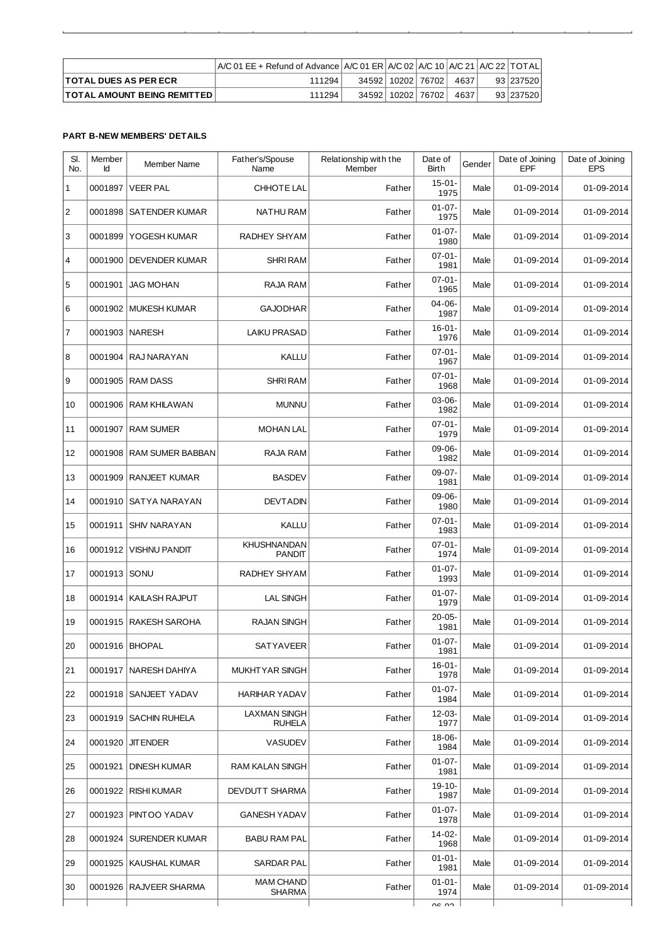|                                    | A/C 01 EE + Refund of Advance   A/C 01 ER   A/C 02   A/C 10   A/C 21   A/C 22   TOTAL |                       |      |            |
|------------------------------------|---------------------------------------------------------------------------------------|-----------------------|------|------------|
| <b>TOTAL DUES AS PER ECR</b>       | 111294.                                                                               | 34592   10202   76702 | 4637 | 9312375201 |
| <b>TOTAL AMOUNT BEING REMITTED</b> | 111294                                                                                | 34592   10202   76702 | 4637 | 9312375201 |

ä

## **PART B-NEW MEMBERS' DETAILS**

| SI.<br>No.     | Member<br>Id | Member Name              | Father's/Spouse<br>Name              | Relationship with the<br>Member | Date of<br>Birth    | Gender | Date of Joining<br>EPF | Date of Joining<br><b>EPS</b> |
|----------------|--------------|--------------------------|--------------------------------------|---------------------------------|---------------------|--------|------------------------|-------------------------------|
| $\mathbf{1}$   | 0001897      | <b>VEER PAL</b>          | CHHOTE LAL                           | Father                          | $15-01-$<br>1975    | Male   | 01-09-2014             | 01-09-2014                    |
| $\overline{c}$ | 0001898      | SATENDER KUMAR           | NATHU RAM                            | Father                          | $01 - 07 -$<br>1975 | Male   | 01-09-2014             | 01-09-2014                    |
| 3              | 0001899      | YOGESH KUMAR             | RADHEY SHYAM                         | Father                          | $01 - 07 -$<br>1980 | Male   | 01-09-2014             | 01-09-2014                    |
| 4              | 0001900      | <b>DEVENDER KUMAR</b>    | <b>SHRI RAM</b>                      | Father                          | $07 - 01 -$<br>1981 | Male   | 01-09-2014             | 01-09-2014                    |
| 5              | 0001901      | <b>JAG MOHAN</b>         | RAJA RAM                             | Father                          | $07-01-$<br>1965    | Male   | 01-09-2014             | 01-09-2014                    |
| 6              |              | 0001902   MUKESH KUMAR   | <b>GAJODHAR</b>                      | Father                          | $04 - 06 -$<br>1987 | Male   | 01-09-2014             | 01-09-2014                    |
| $\overline{7}$ |              | 0001903   NARESH         | <b>LAIKU PRASAD</b>                  | Father                          | $16-01-$<br>1976    | Male   | 01-09-2014             | 01-09-2014                    |
| 8              | 0001904      | RAJ NARAYAN              | <b>KALLU</b>                         | Father                          | $07-01-$<br>1967    | Male   | 01-09-2014             | 01-09-2014                    |
| 9              |              | 0001905   RAM DASS       | <b>SHRI RAM</b>                      | Father                          | $07 - 01 -$<br>1968 | Male   | 01-09-2014             | 01-09-2014                    |
| 10             | 0001906      | RAM KHILAWAN             | <b>MUNNU</b>                         | Father                          | $03-06-$<br>1982    | Male   | 01-09-2014             | 01-09-2014                    |
| 11             | 0001907      | <b>RAM SUMER</b>         | <b>MOHAN LAL</b>                     | Father                          | $07-01-$<br>1979    | Male   | 01-09-2014             | 01-09-2014                    |
| 12             | 0001908      | <b>RAM SUMER BABBAN</b>  | RAJA RAM                             | Father                          | $09-06-$<br>1982    | Male   | 01-09-2014             | 01-09-2014                    |
| 13             | 0001909      | <b>RANJEET KUMAR</b>     | <b>BASDEV</b>                        | Father                          | $09-07-$<br>1981    | Male   | 01-09-2014             | 01-09-2014                    |
| 14             | 0001910      | SATYA NARAYAN            | <b>DEVTADIN</b>                      | Father                          | 09-06-<br>1980      | Male   | 01-09-2014             | 01-09-2014                    |
| 15             |              | 0001911   SHIV NARAYAN   | KALLU                                | Father                          | $07-01-$<br>1983    | Male   | 01-09-2014             | 01-09-2014                    |
| 16             | 0001912      | <b>VISHNU PANDIT</b>     | <b>KHUSHNANDAN</b><br><b>PANDIT</b>  | Father                          | $07-01-$<br>1974    | Male   | 01-09-2014             | 01-09-2014                    |
| 17             | 0001913 SONU |                          | RADHEY SHYAM                         | Father                          | $01-07-$<br>1993    | Male   | 01-09-2014             | 01-09-2014                    |
| 18             | 0001914      | KAILASH RAJPUT           | <b>LAL SINGH</b>                     | Father                          | $01 - 07 -$<br>1979 | Male   | 01-09-2014             | 01-09-2014                    |
| 19             | 0001915      | RAKESH SAROHA            | <b>RAJAN SINGH</b>                   | Father                          | $20 - 05 -$<br>1981 | Male   | 01-09-2014             | 01-09-2014                    |
| 20             |              | 0001916   BHOPAL         | <b>SATYAVEER</b>                     | Father                          | $01 - 07 -$<br>1981 | Male   | 01-09-2014             | 01-09-2014                    |
| 21             | 0001917      | NARESH DAHIYA            | <b>MUKHTYAR SINGH</b>                | Father                          | $16-01-$<br>1978    | Male   | 01-09-2014             | 01-09-2014                    |
| 22             | 0001918      | SANJEET YADAV            | <b>HARIHAR YADAV</b>                 | Father                          | $01-07-$<br>1984    | Male   | 01-09-2014             | 01-09-2014                    |
| 23             | 0001919      | <b>SACHIN RUHELA</b>     | <b>LAXMAN SINGH</b><br><b>RUHELA</b> | Father                          | 12-03-<br>1977      | Male   | 01-09-2014             | 01-09-2014                    |
| 24             | 0001920      | <b>JIT ENDER</b>         | <b>VASUDEV</b>                       | Father                          | 18-06-<br>1984      | Male   | 01-09-2014             | 01-09-2014                    |
| 25             | 0001921      | <b>DINESH KUMAR</b>      | RAM KALAN SINGH                      | Father                          | $01 - 07 -$<br>1981 | Male   | 01-09-2014             | 01-09-2014                    |
| 26             | 0001922      | <b>RISHI KUMAR</b>       | <b>DEVDUTT SHARMA</b>                | Father                          | $19-10-$<br>1987    | Male   | 01-09-2014             | 01-09-2014                    |
| 27             | 0001923      | PINTOO YADAV             | <b>GANESH YADAV</b>                  | Father                          | $01 - 07 -$<br>1978 | Male   | 01-09-2014             | 01-09-2014                    |
| 28             | 0001924      | SURENDER KUMAR           | <b>BABU RAM PAL</b>                  | Father                          | 14-02-<br>1968      | Male   | 01-09-2014             | 01-09-2014                    |
| 29             | 0001925      | KAUSHAL KUMAR            | <b>SARDAR PAL</b>                    | Father                          | $01 - 01 -$<br>1981 | Male   | 01-09-2014             | 01-09-2014                    |
| 30             |              | 0001926   RAJVEER SHARMA | <b>MAM CHAND</b><br><b>SHARMA</b>    | Father                          | $01 - 01 -$<br>1974 | Male   | 01-09-2014             | 01-09-2014                    |
|                |              |                          |                                      |                                 | ne nn               |        |                        |                               |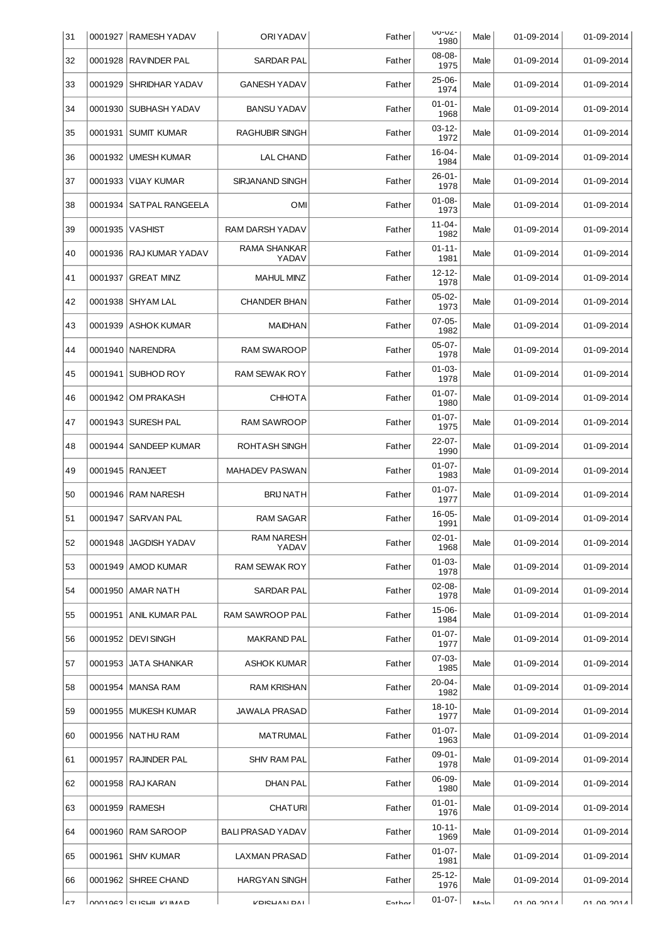| 31             |         | 0001927   RAMESH YADAV           | <b>ORIYADAV</b>            | Father | U0-UZ-<br>1980      | Male           | 01-09-2014        | 01-09-2014         |
|----------------|---------|----------------------------------|----------------------------|--------|---------------------|----------------|-------------------|--------------------|
| 32             | 0001928 | <b>RAVINDER PAL</b>              | <b>SARDAR PAL</b>          | Father | 08-08-<br>1975      | Male           | 01-09-2014        | 01-09-2014         |
| 33             | 0001929 | <b>SHRIDHAR YADAV</b>            | <b>GANESH YADAV</b>        | Father | $25-06-$<br>1974    | Male           | 01-09-2014        | 01-09-2014         |
| 34             | 0001930 | SUBHASH YADAV                    | <b>BANSU YADAV</b>         | Father | $01 - 01 -$<br>1968 | Male           | 01-09-2014        | 01-09-2014         |
| 35             | 0001931 | <b>SUMIT KUMAR</b>               | <b>RAGHUBIR SINGH</b>      | Father | $03-12-$<br>1972    | Male           | 01-09-2014        | 01-09-2014         |
| 36             | 0001932 | UMESH KUMAR                      | <b>LAL CHAND</b>           | Father | $16 - 04 -$<br>1984 | Male           | 01-09-2014        | 01-09-2014         |
| 37             | 0001933 | VIJAY KUMAR                      | SIRJANAND SINGH            | Father | $26 - 01 -$<br>1978 | Male           | 01-09-2014        | 01-09-2014         |
| 38             | 0001934 | SATPAL RANGEELA                  | <b>OMI</b>                 | Father | $01-08-$<br>1973    | Male           | 01-09-2014        | 01-09-2014         |
| 39             | 0001935 | <b>VASHIST</b>                   | RAM DARSH YADAV            | Father | $11 - 04 -$<br>1982 | Male           | 01-09-2014        | 01-09-2014         |
| 40             | 0001936 | RAJ KUMAR YADAV                  | RAMA SHANKAR<br>YADAV      | Father | $01 - 11 -$<br>1981 | Male           | 01-09-2014        | 01-09-2014         |
| 41             | 0001937 | <b>GREAT MINZ</b>                | <b>MAHUL MINZ</b>          | Father | $12 - 12 -$<br>1978 | Male           | 01-09-2014        | 01-09-2014         |
| 42             | 0001938 | <b>SHYAM LAL</b>                 | <b>CHANDER BHAN</b>        | Father | $05-02-$<br>1973    | Male           | 01-09-2014        | 01-09-2014         |
| 43             | 0001939 | <b>ASHOK KUMAR</b>               | <b>MAIDHAN</b>             | Father | $07-05-$<br>1982    | Male           | 01-09-2014        | 01-09-2014         |
| 44             | 0001940 | NARENDRA                         | RAM SWAROOP                | Father | $05-07-$<br>1978    | Male           | 01-09-2014        | 01-09-2014         |
| 45             | 0001941 | SUBHOD ROY                       | <b>RAM SEWAK ROY</b>       | Father | $01-03-$<br>1978    | Male           | 01-09-2014        | 01-09-2014         |
| 46             | 0001942 | <b>OM PRAKASH</b>                | <b>CHHOTA</b>              | Father | $01 - 07 -$<br>1980 | Male           | 01-09-2014        | 01-09-2014         |
| 47             | 0001943 | <b>SURESH PAL</b>                | <b>RAM SAWROOP</b>         | Father | $01 - 07 -$<br>1975 | Male           | 01-09-2014        | 01-09-2014         |
| 48             | 0001944 | <b>SANDEEP KUMAR</b>             | ROHTASH SINGH              | Father | $22 - 07 -$<br>1990 | Male           | 01-09-2014        | 01-09-2014         |
| 49             | 0001945 | RANJEET                          | <b>MAHADEV PASWAN</b>      | Father | $01 - 07 -$<br>1983 | Male           | 01-09-2014        | 01-09-2014         |
| 50             | 0001946 | <b>RAM NARESH</b>                | <b>BRIJ NATH</b>           | Father | $01 - 07 -$<br>1977 | Male           | 01-09-2014        | 01-09-2014         |
| 51             |         | 0001947   SARVAN PAL             | <b>RAM SAGAR</b>           | Father | $16-05-$<br>1991    | Male           | 01-09-2014        | 01-09-2014         |
| 52             |         | 0001948   JAGDISH YADAV          | <b>RAM NARESH</b><br>YADAV | Father | $02 - 01 -$<br>1968 | Male           | 01-09-2014        | 01-09-2014         |
| 53             |         | 0001949   AMOD KUMAR             | <b>RAM SEWAK ROY</b>       | Father | $01 - 03 -$<br>1978 | Male           | 01-09-2014        | 01-09-2014         |
| 54             |         | 0001950   AMAR NATH              | SARDAR PAL                 | Father | $02 - 08 -$<br>1978 | Male           | 01-09-2014        | 01-09-2014         |
| 55             | 0001951 | ANIL KUMAR PAL                   | RAM SAWROOP PAL            | Father | 15-06-<br>1984      | Male           | 01-09-2014        | 01-09-2014         |
| 56             |         | 0001952   DEVI SINGH             | <b>MAKRAND PAL</b>         | Father | $01 - 07 -$<br>1977 | Male           | 01-09-2014        | 01-09-2014         |
| 57             | 0001953 | <b>JATA SHANKAR</b>              | <b>ASHOK KUMAR</b>         | Father | $07-03-$<br>1985    | Male           | 01-09-2014        | 01-09-2014         |
| 58             | 0001954 | MANSA RAM                        | <b>RAM KRISHAN</b>         | Father | $20 - 04 -$<br>1982 | Male           | 01-09-2014        | 01-09-2014         |
| 59             |         | 0001955   MUKESH KUMAR           | <b>JAWALA PRASAD</b>       | Father | $18 - 10 -$<br>1977 | Male           | 01-09-2014        | 01-09-2014         |
| 60             | 0001956 | NATHU RAM                        | MATRUMAL                   | Father | $01 - 07 -$<br>1963 | Male           | 01-09-2014        | 01-09-2014         |
| 61             | 0001957 | RAJINDER PAL                     | SHIV RAM PAL               | Father | 09-01-<br>1978      | Male           | 01-09-2014        | 01-09-2014         |
| 62             | 0001958 | RAJ KARAN                        | <b>DHAN PAL</b>            | Father | 06-09-<br>1980      | Male           | 01-09-2014        | 01-09-2014         |
| 63             | 0001959 | <b>RAMESH</b>                    | <b>CHATURI</b>             | Father | $01 - 01 -$<br>1976 | Male           | 01-09-2014        | 01-09-2014         |
| 64             | 0001960 | RAM SAROOP                       | <b>BALI PRASAD YADAV</b>   | Father | $10 - 11 -$<br>1969 | Male           | 01-09-2014        | 01-09-2014         |
| 65             |         | 0001961   SHIV KUMAR             | <b>LAXMAN PRASAD</b>       | Father | $01 - 07 -$<br>1981 | Male           | 01-09-2014        | 01-09-2014         |
| 66             |         | 0001962   SHREE CHAND            | <b>HARGYAN SINGH</b>       | Father | $25 - 12 -$<br>1976 | Male           | 01-09-2014        | 01-09-2014         |
| $\mathtt{C}$ 7 |         | <b>COULD ISSUED IN THE COULD</b> | <b>LUICUVII DVI</b>        | Eathor | $01 - 07 -$         | M <sub>0</sub> | <b>N1 00 2014</b> | <b>N POC ON PO</b> |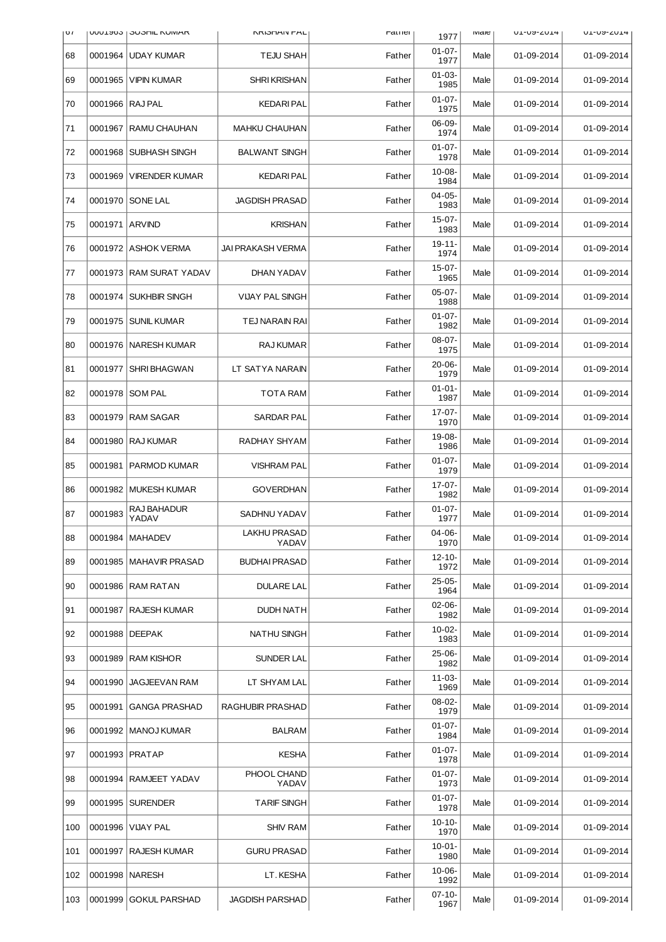| $\sigma$ | <b>UUULJOJ</b> | <b>JUJUL NUIVIAR</b>   | <b>NRIOFIAIV PAL</b>         | rather | 1977                | <b>IVIGIE</b> | <b>UL-UY-ZUI4</b> | <b>UL-UY-ZUL4</b> |
|----------|----------------|------------------------|------------------------------|--------|---------------------|---------------|-------------------|-------------------|
| 68       | 0001964        | <b>UDAY KUMAR</b>      | <b>TEJU SHAH</b>             | Father | $01-07-$<br>1977    | Male          | 01-09-2014        | 01-09-2014        |
| 69       | 0001965        | <b>VIPIN KUMAR</b>     | <b>SHRI KRISHAN</b>          | Father | $01-03-$<br>1985    | Male          | 01-09-2014        | 01-09-2014        |
| 70       |                | 0001966   RAJ PAL      | <b>KEDARI PAL</b>            | Father | $01 - 07 -$<br>1975 | Male          | 01-09-2014        | 01-09-2014        |
| 71       | 0001967        | RAMU CHAUHAN           | <b>MAHKU CHAUHAN</b>         | Father | $06-09-$<br>1974    | Male          | 01-09-2014        | 01-09-2014        |
| 72       | 0001968        | SUBHASH SINGH          | <b>BALWANT SINGH</b>         | Father | $01-07-$<br>1978    | Male          | 01-09-2014        | 01-09-2014        |
| 73       | 0001969        | VIRENDER KUMAR         | <b>KEDARI PAL</b>            | Father | 10-08-<br>1984      | Male          | 01-09-2014        | 01-09-2014        |
| 74       | 0001970        | <b>SONE LAL</b>        | <b>JAGDISH PRASAD</b>        | Father | $04 - 05 -$<br>1983 | Male          | 01-09-2014        | 01-09-2014        |
| 75       | 0001971        | <b>ARVIND</b>          | <b>KRISHAN</b>               | Father | $15-07-$<br>1983    | Male          | 01-09-2014        | 01-09-2014        |
| 76       | 0001972        | <b>ASHOK VERMA</b>     | <b>JAI PRAKASH VERMA</b>     | Father | $19 - 11$<br>1974   | Male          | 01-09-2014        | 01-09-2014        |
| 77       | 0001973        | <b>RAM SURAT YADAV</b> | DHAN YADAV                   | Father | $15-07-$<br>1965    | Male          | 01-09-2014        | 01-09-2014        |
| 78       | 0001974        | SUKHBIR SINGH          | <b>VIJAY PAL SINGH</b>       | Father | $05-07-$<br>1988    | Male          | 01-09-2014        | 01-09-2014        |
| 79       | 0001975        | <b>SUNIL KUMAR</b>     | <b>TEJ NARAIN RAI</b>        | Father | $01 - 07 -$<br>1982 | Male          | 01-09-2014        | 01-09-2014        |
| 80       | 0001976        | <b>NARESH KUMAR</b>    | <b>RAJ KUMAR</b>             | Father | $08-07-$<br>1975    | Male          | 01-09-2014        | 01-09-2014        |
| 81       | 0001977        | <b>SHRI BHAGWAN</b>    | LT SATYA NARAIN              | Father | $20 - 06 -$<br>1979 | Male          | 01-09-2014        | 01-09-2014        |
| 82       | 0001978        | <b>SOM PAL</b>         | <b>TOTA RAM</b>              | Father | $01 - 01 -$<br>1987 | Male          | 01-09-2014        | 01-09-2014        |
| 83       | 0001979        | <b>RAM SAGAR</b>       | SARDAR PAL                   | Father | 17-07-<br>1970      | Male          | 01-09-2014        | 01-09-2014        |
| 84       | 0001980        | <b>RAJ KUMAR</b>       | RADHAY SHYAM                 | Father | 19-08-<br>1986      | Male          | 01-09-2014        | 01-09-2014        |
| 85       | 0001981        | PARMOD KUMAR           | <b>VISHRAM PAL</b>           | Father | $01 - 07 -$<br>1979 | Male          | 01-09-2014        | 01-09-2014        |
| 86       | 0001982        | <b>MUKESH KUMAR</b>    | <b>GOVERDHAN</b>             | Father | 17-07-<br>1982      | Male          | 01-09-2014        | 01-09-2014        |
| 87       | 0001983        | RAJ BAHADUR<br>YADAV   | <b>SADHNU YADAV</b>          | Father | $01 - 07 -$<br>1977 | Male          | 01-09-2014        | 01-09-2014        |
| 88       | 0001984        | <b>MAHADEV</b>         | <b>LAKHU PRASAD</b><br>YADAV | Father | 04-06-<br>1970      | Male          | 01-09-2014        | 01-09-2014        |
| 89       | 0001985        | <b>MAHAVIR PRASAD</b>  | <b>BUDHAI PRASAD</b>         | Father | $12 - 10 -$<br>1972 | Male          | 01-09-2014        | 01-09-2014        |
| 90       | 0001986        | <b>RAM RATAN</b>       | <b>DULARE LAL</b>            | Father | $25-05-$<br>1964    | Male          | 01-09-2014        | 01-09-2014        |
| 91       | 0001987        | <b>RAJESH KUMAR</b>    | <b>DUDH NATH</b>             | Father | $02 - 06 -$<br>1982 | Male          | 01-09-2014        | 01-09-2014        |
| 92       | 0001988        | <b>DEEPAK</b>          | <b>NATHU SINGH</b>           | Father | $10-02-$<br>1983    | Male          | 01-09-2014        | 01-09-2014        |
| 93       | 0001989        | <b>RAM KISHOR</b>      | <b>SUNDER LAL</b>            | Father | $25-06-$<br>1982    | Male          | 01-09-2014        | 01-09-2014        |
| 94       | 0001990        | <b>JAGJEEVAN RAM</b>   | LT SHYAM LAL                 | Father | 11-03-<br>1969      | Male          | 01-09-2014        | 01-09-2014        |
| 95       | 0001991        | <b>GANGA PRASHAD</b>   | RAGHUBIR PRASHAD             | Father | 08-02-<br>1979      | Male          | 01-09-2014        | 01-09-2014        |
| 96       | 0001992        | MANOJ KUMAR            | <b>BALRAM</b>                | Father | $01-07-$<br>1984    | Male          | 01-09-2014        | 01-09-2014        |
| 97       |                | 0001993   PRATAP       | <b>KESHA</b>                 | Father | $01 - 07 -$<br>1978 | Male          | 01-09-2014        | 01-09-2014        |
| 98       | 0001994        | RAMJEET YADAV          | PHOOL CHAND<br>YADAV         | Father | $01 - 07 -$<br>1973 | Male          | 01-09-2014        | 01-09-2014        |
| 99       | 0001995        | <b>SURENDER</b>        | <b>TARIF SINGH</b>           | Father | $01 - 07 -$<br>1978 | Male          | 01-09-2014        | 01-09-2014        |
| 100      | 0001996        | VIJAY PAL              | <b>SHIV RAM</b>              | Father | $10 - 10 -$<br>1970 | Male          | 01-09-2014        | 01-09-2014        |
| 101      | 0001997        | <b>RAJESH KUMAR</b>    | <b>GURU PRASAD</b>           | Father | $10-01-$<br>1980    | Male          | 01-09-2014        | 01-09-2014        |
| 102      | 0001998        | <b>NARESH</b>          | LT. KESHA                    | Father | $10-06-$<br>1992    | Male          | 01-09-2014        | 01-09-2014        |
| 103      | 0001999        | <b>GOKUL PARSHAD</b>   | <b>JAGDISH PARSHAD</b>       | Father | $07 - 10 -$<br>1967 | Male          | 01-09-2014        | 01-09-2014        |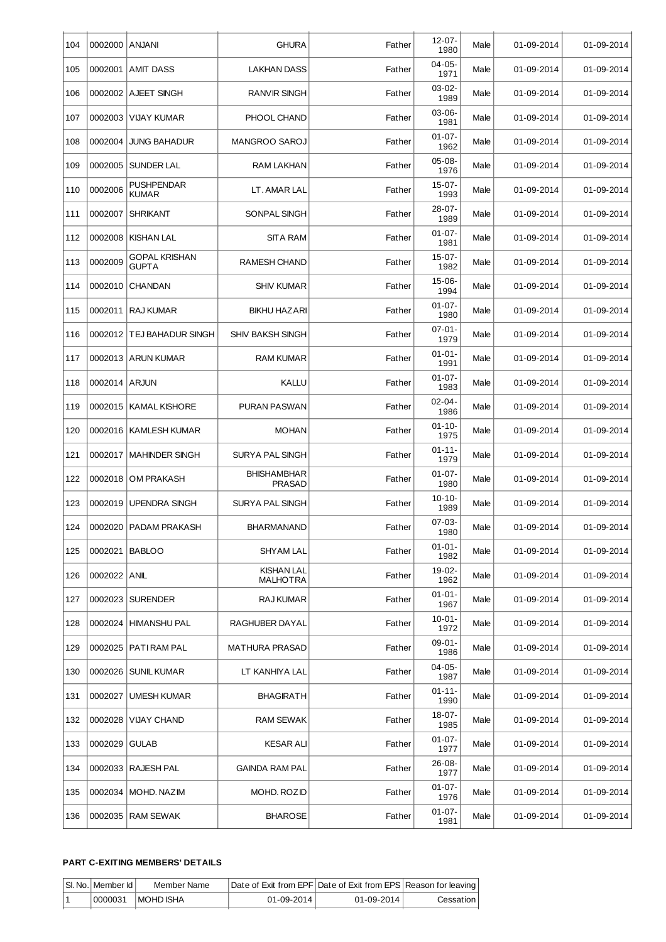| 104 | 0002000 ANJANI |                                      | <b>GHURA</b>                         | Father | 12-07-<br>1980      | Male | 01-09-2014 | 01-09-2014 |
|-----|----------------|--------------------------------------|--------------------------------------|--------|---------------------|------|------------|------------|
| 105 | 0002001        | <b>AMIT DASS</b>                     | <b>LAKHAN DASS</b>                   | Father | $04 - 05 -$<br>1971 | Male | 01-09-2014 | 01-09-2014 |
| 106 | 0002002        | AJEET SINGH                          | <b>RANVIR SINGH</b>                  | Father | $03-02-$<br>1989    | Male | 01-09-2014 | 01-09-2014 |
| 107 | 0002003        | <b>VIJAY KUMAR</b>                   | PHOOL CHAND                          | Father | $03 - 06 -$<br>1981 | Male | 01-09-2014 | 01-09-2014 |
| 108 | 0002004        | <b>JUNG BAHADUR</b>                  | MANGROO SAROJ                        | Father | $01 - 07 -$<br>1962 | Male | 01-09-2014 | 01-09-2014 |
| 109 | 0002005        | <b>SUNDER LAL</b>                    | RAM LAKHAN                           | Father | $05-08-$<br>1976    | Male | 01-09-2014 | 01-09-2014 |
| 110 | 0002006        | PUSHPENDAR<br><b>KUMAR</b>           | LT. AMAR LAL                         | Father | $15-07-$<br>1993    | Male | 01-09-2014 | 01-09-2014 |
| 111 | 0002007        | <b>SHRIKANT</b>                      | SONPAL SINGH                         | Father | 28-07-<br>1989      | Male | 01-09-2014 | 01-09-2014 |
| 112 | 0002008        | <b>KISHAN LAL</b>                    | <b>SITA RAM</b>                      | Father | $01 - 07 -$<br>1981 | Male | 01-09-2014 | 01-09-2014 |
| 113 | 0002009        | <b>GOPAL KRISHAN</b><br><b>GUPTA</b> | <b>RAMESH CHAND</b>                  | Father | 15-07-<br>1982      | Male | 01-09-2014 | 01-09-2014 |
| 114 | 0002010        | <b>CHANDAN</b>                       | <b>SHIV KUMAR</b>                    | Father | 15-06-<br>1994      | Male | 01-09-2014 | 01-09-2014 |
| 115 | 0002011        | <b>RAJ KUMAR</b>                     | <b>BIKHU HAZARI</b>                  | Father | $01 - 07 -$<br>1980 | Male | 01-09-2014 | 01-09-2014 |
| 116 | 0002012        | <b>TEJ BAHADUR SINGH</b>             | <b>SHIV BAKSH SINGH</b>              | Father | $07-01-$<br>1979    | Male | 01-09-2014 | 01-09-2014 |
| 117 |                | 0002013   ARUN KUMAR                 | <b>RAM KUMAR</b>                     | Father | $01 - 01 -$<br>1991 | Male | 01-09-2014 | 01-09-2014 |
| 118 | 0002014 ARJUN  |                                      | <b>KALLU</b>                         | Father | $01 - 07 -$<br>1983 | Male | 01-09-2014 | 01-09-2014 |
| 119 | 0002015        | <b>KAMAL KISHORE</b>                 | PURAN PASWAN                         | Father | $02 - 04 -$<br>1986 | Male | 01-09-2014 | 01-09-2014 |
| 120 | 0002016        | <b>KAMLESH KUMAR</b>                 | <b>MOHAN</b>                         | Father | $01 - 10 -$<br>1975 | Male | 01-09-2014 | 01-09-2014 |
| 121 | 0002017        | <b>MAHINDER SINGH</b>                | SURYA PAL SINGH                      | Father | $01 - 11 -$<br>1979 | Male | 01-09-2014 | 01-09-2014 |
| 122 | 0002018        | <b>OM PRAKASH</b>                    | <b>BHISHAMBHAR</b><br><b>PRASAD</b>  | Father | $01 - 07 -$<br>1980 | Male | 01-09-2014 | 01-09-2014 |
| 123 | 0002019        | <b>UPENDRA SINGH</b>                 | SURYA PAL SINGH                      | Father | $10 - 10 -$<br>1989 | Male | 01-09-2014 | 01-09-2014 |
| 124 |                | 0002020   PADAM PRAKASH              | <b>BHARMANAND</b>                    | Father | $07-03-$<br>1980    | Male | 01-09-2014 | 01-09-2014 |
| 125 | 0002021        | <b>BABLOO</b>                        | <b>SHYAM LAL</b>                     | Father | $01 - 01 -$<br>1982 | Male | 01-09-2014 | 01-09-2014 |
| 126 | 0002022 ANIL   |                                      | <b>KISHAN LAL</b><br><b>MALHOTRA</b> | Father | 19-02-<br>1962      | Male | 01-09-2014 | 01-09-2014 |
| 127 | 0002023        | <b>SURENDER</b>                      | RAJ KUMAR                            | Father | $01 - 01 -$<br>1967 | Male | 01-09-2014 | 01-09-2014 |
| 128 | 0002024        | <b>HIMANSHU PAL</b>                  | RAGHUBER DAYAL                       | Father | $10 - 01 -$<br>1972 | Male | 01-09-2014 | 01-09-2014 |
| 129 |                | 0002025   PATI RAM PAL               | <b>MATHURA PRASAD</b>                | Father | $09-01-$<br>1986    | Male | 01-09-2014 | 01-09-2014 |
| 130 | 0002026        | <b>SUNIL KUMAR</b>                   | LT KANHIYA LAL                       | Father | $04 - 05 -$<br>1987 | Male | 01-09-2014 | 01-09-2014 |
| 131 | 0002027        | <b>UMESH KUMAR</b>                   | <b>BHAGIRATH</b>                     | Father | $01 - 11 -$<br>1990 | Male | 01-09-2014 | 01-09-2014 |
| 132 | 0002028        | <b>VIJAY CHAND</b>                   | RAM SEWAK                            | Father | 18-07-<br>1985      | Male | 01-09-2014 | 01-09-2014 |
| 133 | 0002029        | <b>GULAB</b>                         | <b>KESAR ALI</b>                     | Father | $01 - 07 -$<br>1977 | Male | 01-09-2014 | 01-09-2014 |
| 134 | 0002033        | RAJESH PAL                           | <b>GAINDA RAM PAL</b>                | Father | $26 - 08 -$<br>1977 | Male | 01-09-2014 | 01-09-2014 |
| 135 | 0002034        | MOHD. NAZIM                          | MOHD. ROZID                          | Father | $01 - 07 -$<br>1976 | Male | 01-09-2014 | 01-09-2014 |
| 136 |                | 0002035   RAM SEWAK                  | <b>BHAROSE</b>                       | Father | $01 - 07 -$<br>1981 | Male | 01-09-2014 | 01-09-2014 |

## **PART C-EXITING MEMBERS' DETAILS**

| SI. No.   Member Id | Member Name |                  | Date of Exit from EPF Date of Exit from EPS Reason for leaving |           |
|---------------------|-------------|------------------|----------------------------------------------------------------|-----------|
| 0000031             | I MOHD ISHA | $01 - 09 - 2014$ | $01 - 09 - 2014$                                               | Cessation |
|                     |             |                  |                                                                |           |